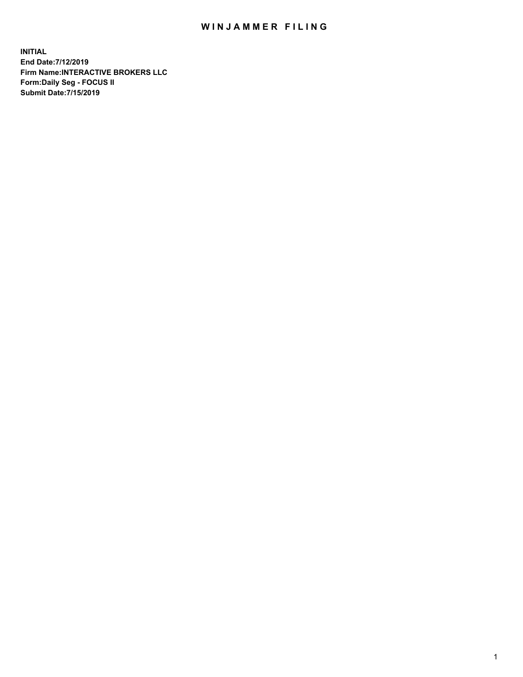## WIN JAMMER FILING

**INITIAL End Date:7/12/2019 Firm Name:INTERACTIVE BROKERS LLC Form:Daily Seg - FOCUS II Submit Date:7/15/2019**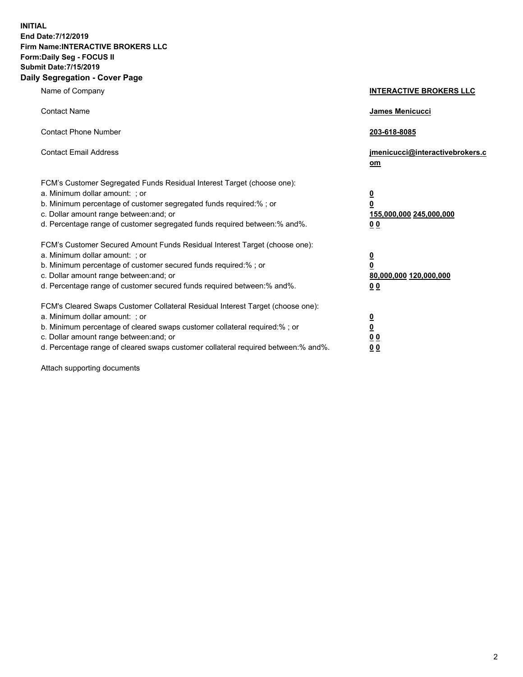**INITIAL End Date:7/12/2019 Firm Name:INTERACTIVE BROKERS LLC Form:Daily Seg - FOCUS II Submit Date:7/15/2019 Daily Segregation - Cover Page**

| Name of Company                                                                                                                                                                                                                                                                                                                | <b>INTERACTIVE BROKERS LLC</b>                                                                  |
|--------------------------------------------------------------------------------------------------------------------------------------------------------------------------------------------------------------------------------------------------------------------------------------------------------------------------------|-------------------------------------------------------------------------------------------------|
| <b>Contact Name</b>                                                                                                                                                                                                                                                                                                            | James Menicucci                                                                                 |
| <b>Contact Phone Number</b>                                                                                                                                                                                                                                                                                                    | 203-618-8085                                                                                    |
| <b>Contact Email Address</b>                                                                                                                                                                                                                                                                                                   | jmenicucci@interactivebrokers.c<br>om                                                           |
| FCM's Customer Segregated Funds Residual Interest Target (choose one):<br>a. Minimum dollar amount: ; or<br>b. Minimum percentage of customer segregated funds required:% ; or<br>c. Dollar amount range between: and; or<br>d. Percentage range of customer segregated funds required between:% and%.                         | $\overline{\mathbf{0}}$<br>$\overline{\mathbf{0}}$<br>155,000,000 245,000,000<br>0 <sub>0</sub> |
| FCM's Customer Secured Amount Funds Residual Interest Target (choose one):<br>a. Minimum dollar amount: ; or<br>b. Minimum percentage of customer secured funds required:%; or<br>c. Dollar amount range between: and; or<br>d. Percentage range of customer secured funds required between:% and%.                            | $\overline{\mathbf{0}}$<br>$\overline{\mathbf{0}}$<br>80,000,000 120,000,000<br>00              |
| FCM's Cleared Swaps Customer Collateral Residual Interest Target (choose one):<br>a. Minimum dollar amount: ; or<br>b. Minimum percentage of cleared swaps customer collateral required:% ; or<br>c. Dollar amount range between: and; or<br>d. Percentage range of cleared swaps customer collateral required between:% and%. | $\overline{\mathbf{0}}$<br>$\underline{\mathbf{0}}$<br>0 <sub>0</sub><br>0 <sub>0</sub>         |

Attach supporting documents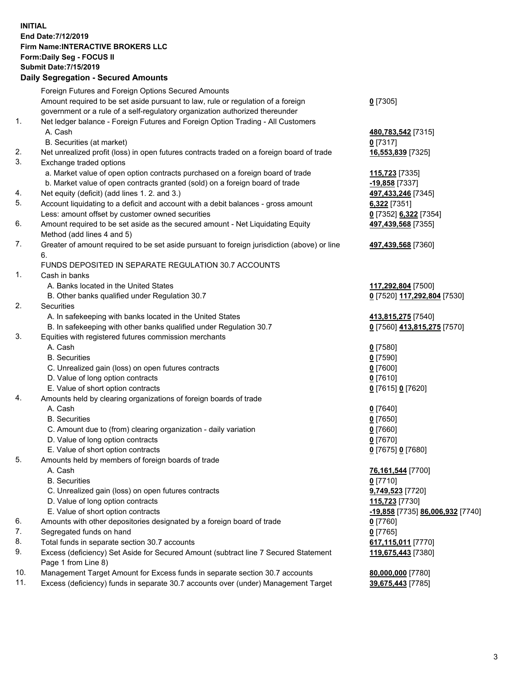## **INITIAL End Date:7/12/2019 Firm Name:INTERACTIVE BROKERS LLC Form:Daily Seg - FOCUS II Submit Date:7/15/2019 Daily Segregation - Secured Amounts**

|                | Daily Ocglegation - Occuled Aniounts                                                              |                                                      |
|----------------|---------------------------------------------------------------------------------------------------|------------------------------------------------------|
|                | Foreign Futures and Foreign Options Secured Amounts                                               |                                                      |
|                | Amount required to be set aside pursuant to law, rule or regulation of a foreign                  | $0$ [7305]                                           |
|                | government or a rule of a self-regulatory organization authorized thereunder                      |                                                      |
| $\mathbf{1}$ . | Net ledger balance - Foreign Futures and Foreign Option Trading - All Customers                   |                                                      |
|                | A. Cash                                                                                           | 480,783,542 [7315]                                   |
|                | B. Securities (at market)                                                                         | $0$ [7317]                                           |
| 2.             | Net unrealized profit (loss) in open futures contracts traded on a foreign board of trade         | 16,553,839 [7325]                                    |
| 3.             | Exchange traded options                                                                           |                                                      |
|                | a. Market value of open option contracts purchased on a foreign board of trade                    | 115,723 [7335]                                       |
|                | b. Market value of open contracts granted (sold) on a foreign board of trade                      | $-19,858$ [7337]                                     |
| 4.             | Net equity (deficit) (add lines 1.2. and 3.)                                                      | 497,433,246 [7345]                                   |
| 5.             | Account liquidating to a deficit and account with a debit balances - gross amount                 | 6,322 [7351]                                         |
|                | Less: amount offset by customer owned securities                                                  | 0 [7352] 6,322 [7354]                                |
| 6.             | Amount required to be set aside as the secured amount - Net Liquidating Equity                    | 497,439,568 [7355]                                   |
|                | Method (add lines 4 and 5)                                                                        |                                                      |
| 7.             | Greater of amount required to be set aside pursuant to foreign jurisdiction (above) or line<br>6. | 497,439,568 [7360]                                   |
|                | FUNDS DEPOSITED IN SEPARATE REGULATION 30.7 ACCOUNTS                                              |                                                      |
| $\mathbf{1}$ . | Cash in banks                                                                                     |                                                      |
|                | A. Banks located in the United States                                                             | 117,292,804 [7500]                                   |
|                | B. Other banks qualified under Regulation 30.7                                                    | 0 [7520] 117,292,804 [7530]                          |
| 2.             | Securities                                                                                        |                                                      |
|                | A. In safekeeping with banks located in the United States                                         | 413,815,275 [7540]                                   |
|                | B. In safekeeping with other banks qualified under Regulation 30.7                                | 0 [7560] 413,815,275 [7570]                          |
| 3.             | Equities with registered futures commission merchants                                             |                                                      |
|                | A. Cash                                                                                           | $0$ [7580]                                           |
|                | <b>B.</b> Securities                                                                              | $0$ [7590]                                           |
|                | C. Unrealized gain (loss) on open futures contracts                                               | $0$ [7600]                                           |
|                | D. Value of long option contracts                                                                 | $0$ [7610]                                           |
|                | E. Value of short option contracts                                                                | 0 [7615] 0 [7620]                                    |
| 4.             | Amounts held by clearing organizations of foreign boards of trade                                 |                                                      |
|                | A. Cash                                                                                           | $0$ [7640]                                           |
|                | <b>B.</b> Securities                                                                              | $0$ [7650]                                           |
|                | C. Amount due to (from) clearing organization - daily variation                                   | $0$ [7660]                                           |
|                | D. Value of long option contracts                                                                 | $0$ [7670]                                           |
|                | E. Value of short option contracts                                                                | 0 [7675] 0 [7680]                                    |
| 5.             | Amounts held by members of foreign boards of trade                                                |                                                      |
|                | A. Cash                                                                                           | 76,161,544 [7700]                                    |
|                | <b>B.</b> Securities                                                                              | $0$ [7710]                                           |
|                | C. Unrealized gain (loss) on open futures contracts                                               | 9,749,523 [7720]                                     |
|                | D. Value of long option contracts                                                                 | 115,723 [7730]                                       |
|                | E. Value of short option contracts                                                                | <mark>-19,858</mark> [7735] <b>86,006,932</b> [7740] |
| 6.             | Amounts with other depositories designated by a foreign board of trade                            | 0 [7760]                                             |
| 7.             | Segregated funds on hand                                                                          | $0$ [7765]                                           |
| 8.             | Total funds in separate section 30.7 accounts                                                     | 617,115,011 [7770]                                   |
| 9.             | Excess (deficiency) Set Aside for Secured Amount (subtract line 7 Secured Statement               | 119,675,443 [7380]                                   |
|                | Page 1 from Line 8)                                                                               |                                                      |
| 10.            | Management Target Amount for Excess funds in separate section 30.7 accounts                       | 80,000,000 [7780]                                    |
| 11.            | Excess (deficiency) funds in separate 30.7 accounts over (under) Management Target                | 39,675,443 [7785]                                    |
|                |                                                                                                   |                                                      |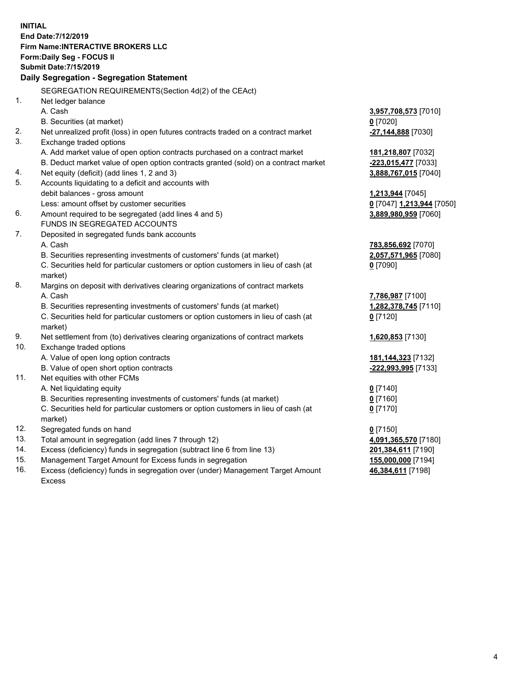**INITIAL End Date:7/12/2019 Firm Name:INTERACTIVE BROKERS LLC Form:Daily Seg - FOCUS II Submit Date:7/15/2019 Daily Segregation - Segregation Statement** SEGREGATION REQUIREMENTS(Section 4d(2) of the CEAct) 1. Net ledger balance A. Cash **3,957,708,573** [7010] B. Securities (at market) **0** [7020] 2. Net unrealized profit (loss) in open futures contracts traded on a contract market **-27,144,888** [7030] 3. Exchange traded options A. Add market value of open option contracts purchased on a contract market **181,218,807** [7032] B. Deduct market value of open option contracts granted (sold) on a contract market **-223,015,477** [7033] 4. Net equity (deficit) (add lines 1, 2 and 3) **3,888,767,015** [7040] 5. Accounts liquidating to a deficit and accounts with debit balances - gross amount **1,213,944** [7045] Less: amount offset by customer securities **0** [7047] **1,213,944** [7050] 6. Amount required to be segregated (add lines 4 and 5) **3,889,980,959** [7060] FUNDS IN SEGREGATED ACCOUNTS 7. Deposited in segregated funds bank accounts A. Cash **783,856,692** [7070] B. Securities representing investments of customers' funds (at market) **2,057,571,965** [7080] C. Securities held for particular customers or option customers in lieu of cash (at market) **0** [7090] 8. Margins on deposit with derivatives clearing organizations of contract markets A. Cash **7,786,987** [7100] B. Securities representing investments of customers' funds (at market) **1,282,378,745** [7110] C. Securities held for particular customers or option customers in lieu of cash (at market) **0** [7120] 9. Net settlement from (to) derivatives clearing organizations of contract markets **1,620,853** [7130] 10. Exchange traded options A. Value of open long option contracts **181,144,323** [7132] B. Value of open short option contracts **-222,993,995** [7133] 11. Net equities with other FCMs A. Net liquidating equity **0** [7140] B. Securities representing investments of customers' funds (at market) **0** [7160] C. Securities held for particular customers or option customers in lieu of cash (at market) **0** [7170] 12. Segregated funds on hand **0** [7150] 13. Total amount in segregation (add lines 7 through 12) **4,091,365,570** [7180] 14. Excess (deficiency) funds in segregation (subtract line 6 from line 13) **201,384,611** [7190] 15. Management Target Amount for Excess funds in segregation **155,000,000** [7194]

16. Excess (deficiency) funds in segregation over (under) Management Target Amount Excess

**46,384,611** [7198]